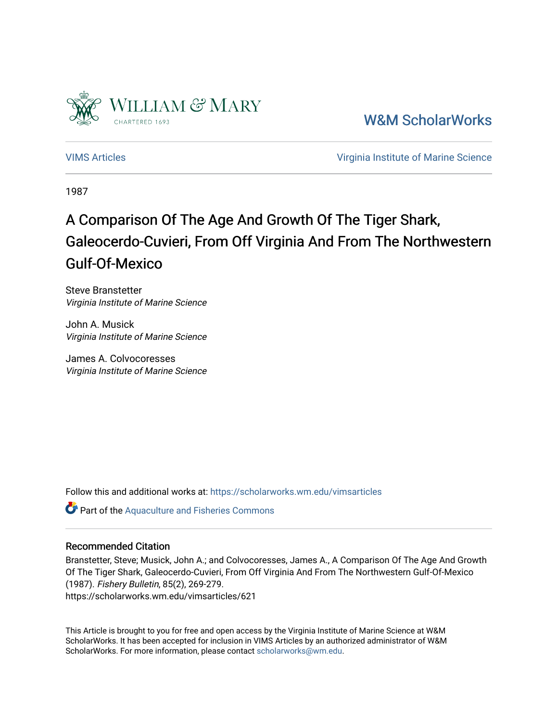

[W&M ScholarWorks](https://scholarworks.wm.edu/) 

[VIMS Articles](https://scholarworks.wm.edu/vimsarticles) [Virginia Institute of Marine Science](https://scholarworks.wm.edu/vims) 

1987

# A Comparison Of The Age And Growth Of The Tiger Shark, Galeocerdo-Cuvieri, From Off Virginia And From The Northwestern Gulf-Of-Mexico

Steve Branstetter Virginia Institute of Marine Science

John A. Musick Virginia Institute of Marine Science

James A. Colvocoresses Virginia Institute of Marine Science

Follow this and additional works at: [https://scholarworks.wm.edu/vimsarticles](https://scholarworks.wm.edu/vimsarticles?utm_source=scholarworks.wm.edu%2Fvimsarticles%2F621&utm_medium=PDF&utm_campaign=PDFCoverPages)

**Part of the [Aquaculture and Fisheries Commons](http://network.bepress.com/hgg/discipline/78?utm_source=scholarworks.wm.edu%2Fvimsarticles%2F621&utm_medium=PDF&utm_campaign=PDFCoverPages)** 

### Recommended Citation

Branstetter, Steve; Musick, John A.; and Colvocoresses, James A., A Comparison Of The Age And Growth Of The Tiger Shark, Galeocerdo-Cuvieri, From Off Virginia And From The Northwestern Gulf-Of-Mexico (1987). Fishery Bulletin, 85(2), 269-279. https://scholarworks.wm.edu/vimsarticles/621

This Article is brought to you for free and open access by the Virginia Institute of Marine Science at W&M ScholarWorks. It has been accepted for inclusion in VIMS Articles by an authorized administrator of W&M ScholarWorks. For more information, please contact [scholarworks@wm.edu.](mailto:scholarworks@wm.edu)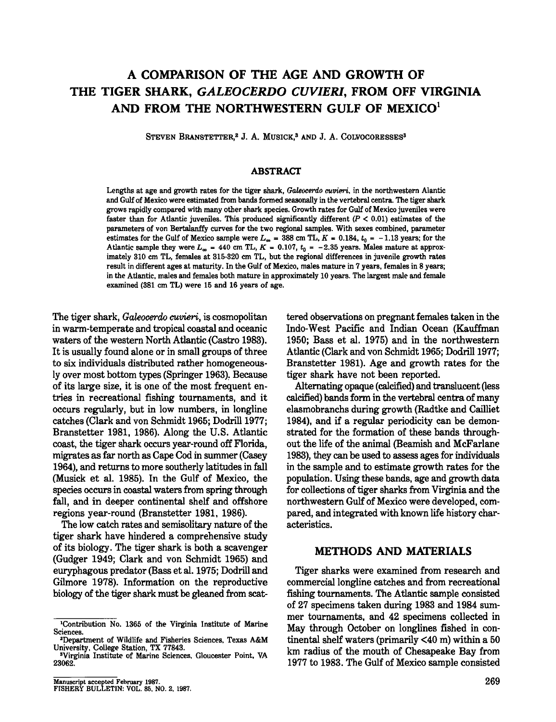## **A COMPARISON OF THE AGE AND GROWTH OF THE TIGER SHARK,** *GALEOCERDO CUVIERI,* **FROM OFF VIRGINIA AND FROM THE NORTHWESTERN GULF OF MEXIC0<sup>1</sup>**

STEVEN BRANSTETTER,<sup>2</sup> J. A. MUSICK,<sup>3</sup> AND J. A. COLVOCORESSES<sup>3</sup>

#### **ABSTRACT**

Lengths at age and growth rates for the tiger shark, *Galeocerdo cuvieri.* in the northwestern Alantic and Gulf of Mexico were estimated from bands formed seasonally in the vertebral centra. The tiger shark grows rapidly compared with many other shark species. Growth rates for Gulf of Mexico juveniles were faster than for Atlantic juveniles. This produced significantly different  $(P < 0.01)$  estimates of the parameters of von Bertalanffy curves for the two regional samples. With sexes combined, parameter estimates for the Gulf of Mexico sample were  $L_{\infty}$  = 388 cm TL,  $K = 0.184$ ,  $t_0 = -1.13$  years; for the Atlantic sample they were  $L_{\infty} = 440$  cm TL,  $K = 0.107$ ,  $t_0 = -2.35$  years. Males mature at approximately 310 cm TL, females at 315-320 cm TL, but the regional differences in juvenile growth rates result in different ages at maturity. In the Gulf of Mexico. males mature in 7 years. females in 8 years; in the Atlantic. males and females both mature in approximately 10 years. The largest male and female examined (381 cm TL) were 15 and 16 years of age.

The tiger shark, *Galeocerdo cuvieri,* is cosmopolitan in warm-temperate and tropical coastal and oceanic waters of the western North Atlantic (Castro 1983). It is usually found alone or in small groups of three to six individuals distributed rather homogeneously over most bottom types (Springer 1963), Because of its large size, it is one of the most frequent entries in recreational fishing tournaments, and it occurs regularly, but in low numbers, in longline catches (Clark and von Schmidt 1965; Dodrill 1977; Branstetter 1981, 1986). Along the U.S. Atlantic coast, the tiger shark occurs year-round off Florida, migrates as far north as Cape Cod in summer (Casey 1964), and returns to more southerly latitudes in fall (Musick et al. 1985). In the Gulf of Mexico, the species occurs in coastal waters from spring through fall, and in deeper continental shelf and offshore regions year-round (Branstetter 1981, 1986).

The low catch rates and semisolitary nature of the tiger shark have hindered a comprehensive study of its biology. The tiger shark is both a scavenger (Gudger 1949; Clark and von Schmidt 1965) and euryphagous predator (Bass et al. 1975; Dodrill and Gilmore 1978). Information on the reproductive biology of the tiger shark must be gleaned from scat-

tered observations on pregnant females taken in the Indo-West Pacific and Indian Ocean (Kauffman 1950; Bass et al. 1975) and in the northwestern Atlantic (Clark and von Schmidt 1965; Dodrill 1977; Branstetter 1981). Age and growth rates for the tiger shark have not been reported.

Alternating opaque (calcified) and translucent (less calcified) bands form in the vertebral centra of many elasmobranchs during growth (Radtke and Cailliet 1984), and if a regular periodicity can be demonstrated for the formation of these bands throughout the life of the animal (Beamish and McFarlane 1983), they can be used to assess ages for individuals in the sample and to estimate growth rates for the population. Using these bands, age and growth data for collections of tiger sharks from Virginia and the northwestern Gulf of Mexico were developed, compared, and integrated with known life history characteristics.

#### **METHODS AND MATERIALS**

Tiger sharks were examined from research and commercial longline catches and from recreational fishing tournaments. The Atlantic sample consisted of 27 specimens taken during 1983 and 1984 summer tournaments, and 42 specimens collected in May through October on longlines fished in continental shelf waters (primarily <40 m) within a 50 km radius of the mouth of Chesapeake Bay from 1977 to 1983. The Gulf of Mexico sample consisted

<sup>&#</sup>x27;Contribution No. 1365 of the Virginia Institute of Marine Sciences.

<sup>&</sup>quot;Department of Wildlife and Fisheries Sciences. Texas A&M University. College Station, TX 77843.

<sup>&#</sup>x27;Virginia Institute of Marine Sciences, Gloucester Point, VA 23062.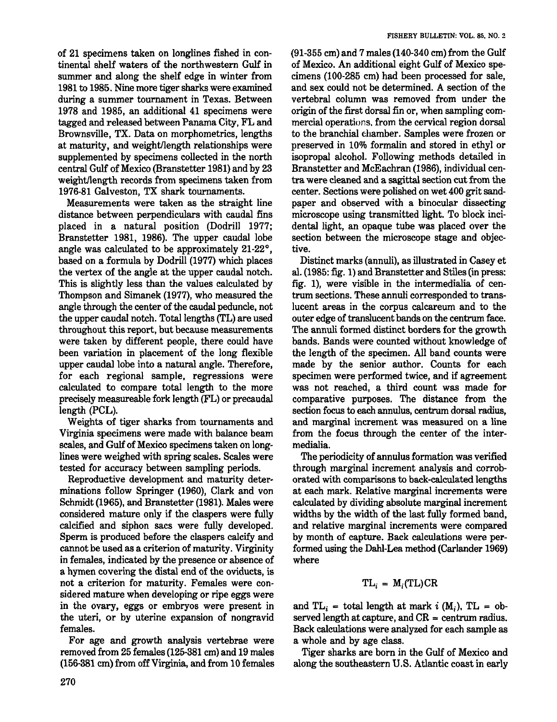of 21 specimens taken on longlines fished in continental shelf waters of the northwestern Gulf in summer and along the shelf edge in winter from 1981 to 1985. Nine more tiger sharks were examined during a summer tournament in Texas. Between 1978 and 1985, an additional 41 specimens were tagged and released between Panama City, FL and Brownsville, TX. Data on morphometries, lengths at maturity, and weight/length relationships were supplemented by specimens collected in the north central Gulf of Mexico (Branstetter 1981) and by 23 weight/length records from specimens taken from 1976-81 Galveston, TX shark tournaments.

Measurements were taken as the straight line distance between perpendiculars with caudal fins placed in a natural position (Dodrill 1977; Branstetter 1981, 1986). The upper caudal lobe angle was calculated to be approximately *21-22°,* based on a formula by Dodrill (1977) which places the vertex of the angle at the upper caudal notch. This is slightly less than the values calculated by Thompson and Simanek (1977), who measured the angle through the center of the caudal peduncle, not the upper caudal notch. Total lengths (TL) are used throughout this report, but because measurements were taken by different people, there could have been variation in placement of the long flexible upper caudal lobe into a natural angle. Therefore, for each regional sample, regressions were calculated to compare total length to the more precisely measureable fork length (FL) or precaudal length (PCL).

Weights of tiger sharks from tournaments and Virginia specimens were made with balance beam scales, and Gulf of Mexico specimens taken on longlines were weighed with spring scales. Scales were tested for accuracy between sampling periods.

Reproductive development and maturity determinations follow Springer (1960), Clark and von Schmidt (1965), and Branstetter (1981). Males were considered mature only if the claspers were fully calcified and siphon sacs were fully developed. Sperm is produced before the claspers calcify and cannot be used as a criterion of maturity. Virginity in females, indicated by the presence or absence of a hymen covering the distal end of the oviducts, is not a criterion for maturity. Females were considered mature when developing or ripe eggs were in the ovary, eggs or embryos were present in the uteri, or by uterine expansion of nongravid females.

For age and growth analysis vertebrae were removed from 25 females (125-381 em) and 19 males (156-381 em) from off Virginia, and from 10 females (91-355 em) and 7 males (140-340 em) from the Gulf of Mexico. An additional eight Gulf of Mexico specimens (100-285 em) had been processed for sale, and sex could not be determined. A section of the vertebral column was removed from under the origin of the first dorsal fin or, when sampling commercial operations, from the cervical region dorsal to the branchial chamber. Samples were frozen or preserved in 10% formalin and stored in ethyl or isopropal alcohol. Following methods detailed in Branstetter and McEachran (1986), individual centra were cleaned and a sagittal section cut from the center. Sections were polished on wet 400 grit sandpaper and observed with a binocular dissecting microscope using transmitted light. To block incidental light, an opaque tube was placed over the section between the microscope stage and objective.

FISHERY BULLETIN: VOL. 85, NO.2

Distinct marks (annuli), as illustrated in Caseyet al. (1985: fig. 1) and Branstetter and Stiles(in press: fig. 1), were visible in the intermedialia of centrum sections. These annuli corresponded to translucent areas in the corpus calcareum and to the outer edge of translucent bands on the centrum face. The annuli formed distinct borders for the growth bands. Bands were counted without knowledge of the length of the specimen. All band counts were made by the senior author. Counts for each specimen were performed twice, and if agreement was not reached, a third count was made for comparative purposes. The distance from the section focus to each annulus, centrum dorsal radius, and marginal increment was measured on a line from the focus through the center of the intermedialia.

The periodicity of annulus formation was verified through marginal increment analysis and corroborated with comparisons to back-calculated lengths at each mark. Relative marginal increments were calculated by dividing absolute marginal increment widths by the width of the last fully formed band, and relative marginal increments were compared by month of capture. Back calculations were performed using the Dahl-Lea method (Carlander 1969) where

$$
TL_i = M_i(TL)CR
$$

and  $TL_i = total length at mark i (M_i)$ ,  $TL = ob$ served length at capture, and  $CR =$  centrum radius. Back calculations were analyzed for each sample as a whole and by age class.

Tiger sharks are born in the Gulf of Mexico and along the southeastern U.S. Atlantic coast in early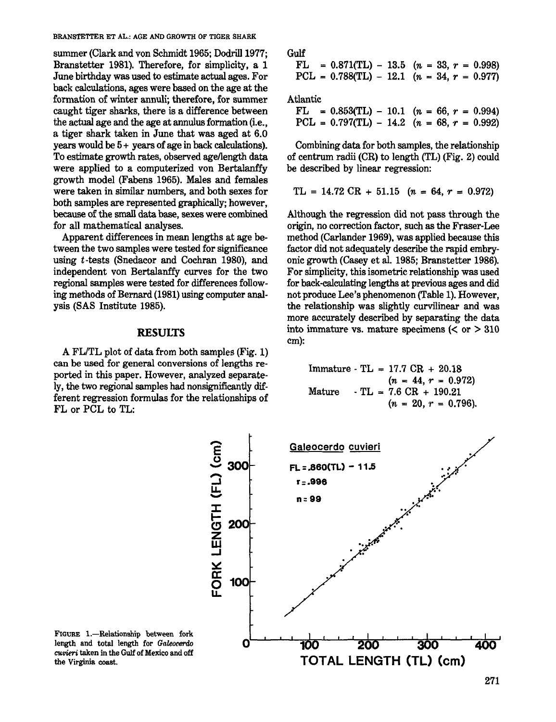BRANSTETTER ET AL.: AGE AND GROWTH OF TIGER SHARK

swnmer (Clark and von Schmidt 1965; Dodrill 1977; Branstetter 1981). Therefore, for simplicity, a 1 June birthday was used to estimate actual ages. For back calculations, ages were based on the age at the formation of winter annuli; therefore, for summer caught tiger sharks, there is a difference between the actual age and the age at annulus formation (i.e., a tiger shark taken in June that was aged at 6.0 years would be 5+ years of age in back calculations). To estimate growth rates, observed agellength data were applied to a computerized von Bertalanffy growth model (Fabens 1965). Males and females were taken in similar numbers, and both sexes for both samples are represented graphically; however, because of the small data base, sexes were combined for all mathematical analyses.

Apparent differences in mean lengths at age between the two samples were tested for significance using *t-tests* (Snedacor and Cochran 1980), and independent von Bertalanffy curves for the two regional samples were tested for differences following methods of Bernard (1981) using computer analysis (SAS Institute 1985).

#### RESULTS

A FL/TL plot of data from both samples (Fig. 1) can be used for general conversions of lengths reported in this paper. However, analyzed separately, the two regional samples had nonsignificantly different regression formulas for the relationships of FL or PCL to TL:

| Gulf |                                              |  |  |  |  |
|------|----------------------------------------------|--|--|--|--|
|      | $FL = 0.871(TL) - 13.5$ (n = 33, r = 0.998)  |  |  |  |  |
|      | $PCL = 0.788(TL) - 12.1$ (n = 34, r = 0.977) |  |  |  |  |

Atlantic

|  | $FL = 0.853(TL) - 10.1$ $(n = 66, r = 0.994)$ |  |  |  |
|--|-----------------------------------------------|--|--|--|
|  | PCL = $0.797(TL) - 14.2$ (n = 68, r = 0.992)  |  |  |  |

Combining data for both samples, the relationship of centrum radii (CR) to length (TL) (Fig. 2) could be described by linear regression:

$$
TL = 14.72 CR + 51.15 \quad (n = 64, r = 0.972)
$$

Although the regression did not pass through the origin, no correction factor, such as the Fraser-Lee method (Carlander 1969), was applied because this factor did not adequately describe the rapid embryonic growth (Casey et al. 1985; Branstetter 1986). For simplicity, this isometric relationship was used for back-calculating lengths at previous ages and did not produce Lee's phenomenon (Table 1). However, the relationship was slightly curvilinear and was more accurately described by separating the data into immature vs. mature specimens  $( $or$  > 310$ cm):

| Immature - TL = 17.7 CR + 20.18 |
|---------------------------------|
| $(n = 44, r = 0.972)$           |
| Mature - TL = 7.6 CR + 190.21   |
| $(n = 20, r = 0.796)$           |



FIGURE 1.-Relationship between fork length and total length for *Galeocerdo CUi!tieri* taken in the Gulf of Mexico and off the Virginia coast.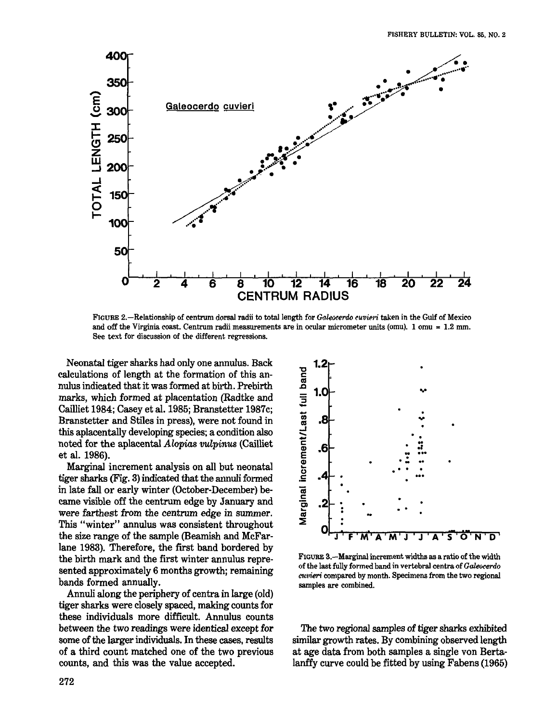

FIGURE 2.-Relationship of centrum dorsal radii to total length for Galeocerdo cuvieri taken in the Gulf of Mexico and off the Virginia coast. Centrum radii measurements are in ocular micrometer units (omu). 1 omu = 1.2 mm. See text for discussion of the different regressions.

Neonatal tiger sharks had only one annulus. Back calculations of length at the formation of this annulus indicated that it was formed at birth. Prebirth marks, which formed at placentation (Radtke and Cailliet 1984; Casey et aI. 1985; Branstetter 1987c; Branstetter and Stiles in press), were not found in this aplacentally developing species; a condition also noted for the aplacental *Alopias vulp'inus* (Cailliet et aI. 1986).

Marginal increment analysis on all but neonatal tiger sharks (Fig. 3) indicated that the annuli formed in late fall or early winter (October-December) became visible off the centrum edge by January and were farthest from the centrum edge in summer. This "winter" annulus was consistent throughout the size range of the sample (Beamish and McFarlane 1983). Therefore, the first band bordered by the birth mark and the first winter annulus represented approximately 6 months growth; remaining bands formed annually.

Annuli along the periphery of centra in large (old) tiger sharks were closely spaced, making countsfor these individuals more difficult. Annulus counts between the two readings were identical except for some of the larger individuals. In these cases, results of a third count matched one of the two previous counts, and this was the value accepted.



FIGURE S.-Marginal increment widths as a ratio of the width of the last fully formed band in vertebral centra of Galeocerdo cuvieri compared by month. Specimens from the two regional samples are combined.

The two regional samples of tiger sharks exhibited similar growth rates. By combining observed length at age data from both samples a single von Bertalanffy curve could be fitted by using Fabens (1965)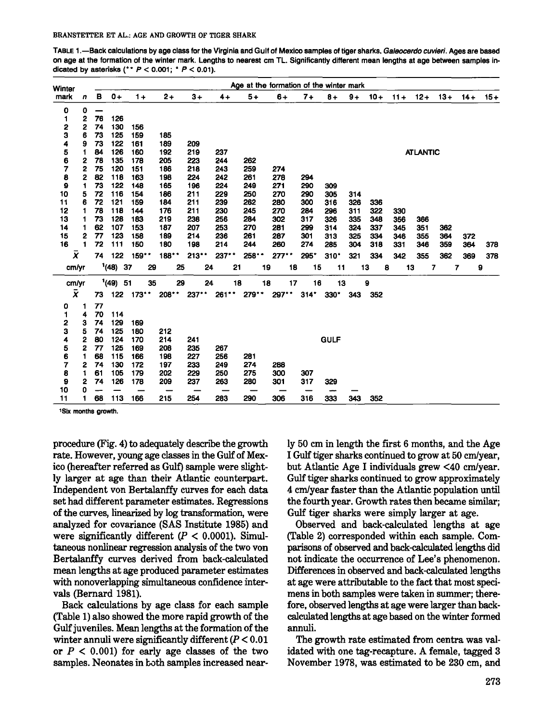TABLE 1.-Back calculations by age class for the Virginia and Gulf of Mexico samples of tiger sharks. Galeocerdo cuvieri. Ages are based on age at the formation of the winter mark. Lengths to nearest cm TL. Significantly different mean lengths at age between samples indicated by asterisks (\*\*  $P < 0.001$ ; \*  $P < 0.01$ ).

| Winter    |   |    |            |         |         |      |       |      | Age at the formation of the winter mark |       |             |      |         |        |                 |        |        |       |
|-----------|---|----|------------|---------|---------|------|-------|------|-----------------------------------------|-------|-------------|------|---------|--------|-----------------|--------|--------|-------|
| mark      | n | в  | $0+$       | $1+$    | $2+$    | $3+$ | $4+$  | $5+$ | $6+$                                    | $7 +$ | $8+$        | $9+$ | $10 +$  | $11 +$ | $12 +$          | $13+$  | $14 +$ | $15+$ |
| 0         | 0 |    |            |         |         |      |       |      |                                         |       |             |      |         |        |                 |        |        |       |
| 1         | 2 | 76 | 126        |         |         |      |       |      |                                         |       |             |      |         |        |                 |        |        |       |
| 2         | 2 | 74 | 130        | 156     |         |      |       |      |                                         |       |             |      |         |        |                 |        |        |       |
| 3         | 6 | 73 | 125        | 159     | 185     |      |       |      |                                         |       |             |      |         |        |                 |        |        |       |
| 4         | 9 | 73 | 122        | 161     | 189     | 209  |       |      |                                         |       |             |      |         |        |                 |        |        |       |
| 5<br>6    | 1 | 84 | 126        | 160     | 192     | 219  | 237   |      |                                         |       |             |      |         |        | <b>ATLANTIC</b> |        |        |       |
|           | 2 | 78 | 135        | 178     | 205     | 223  | 244   | 262  |                                         |       |             |      |         |        |                 |        |        |       |
| 7         | 2 | 75 | 120        | 151     | 186     | 218  | 243   | 259  | 274                                     |       |             |      |         |        |                 |        |        |       |
| 8         | 2 | 82 | 118        | 163     | 198     | 224  | 242   | 261  | 278                                     | 294   |             |      |         |        |                 |        |        |       |
| 9         | 1 | 73 | 122        | 148     | 165     | 196  | 224   | 249  | 271                                     | 290   | 309         |      |         |        |                 |        |        |       |
| 10        | 5 | 72 | 116        | 154     | 186     | 211  | 229   | 250  | 270                                     | 290   | 305         | 314  |         |        |                 |        |        |       |
| 11        | 6 | 72 | 121        | 159     | 184     | 211  | 239   | 262  | 280                                     | 300   | 316         | 326  | 336     |        |                 |        |        |       |
| 12        | 1 | 78 | 118        | 144     | 176     | 211  | 230   | 245  | 270                                     | 284   | 296         | 311  | 322     | 330    |                 |        |        |       |
| 13        | 1 | 73 | 128        | 183     | 219     | 238  | 256   | 284  | 302                                     | 317   | 326         | 335  | 348     | 356    | 366             |        |        |       |
| 14        | 1 | 62 | 107        | 153     | 187     | 207  | 253   | 270  | 281                                     | 299   | 314         | 324  | 337     | 345    | 351             | 362    |        |       |
| 15        | 2 | 77 | 123        | 158     | 189     | 214  | 236   | 261  | 287                                     | 301   | 313         | 325  | 334     | 346    | 355             | 364    | 372    |       |
| 16        | 1 | 72 | 111        | 150     | 180     | 198  | 214   | 244  | 260                                     | 274   | 285         | 304  | 318     | 331    | 346             | 359    | 364    | 378   |
| x         |   | 74 | 122        | $159**$ | 188     | 213  | 237** | 258  | 277                                     | 295*  | $310+$      | 321  | 334     | 342    | 355             | 362    | 369    | 378   |
| cm/yr     |   |    | (48)<br>37 | 29      | 25      | 24   | 21    | 19   | 18                                      | 15    | 11          |      | 13<br>8 | 13     |                 | 7<br>7 |        | 9     |
| cm/yr     |   |    | $(49)$ 51  | 35      | 29      | 24   | 18    | 18   | 17                                      | 16    | 13          |      | 9       |        |                 |        |        |       |
| $\bar{x}$ |   | 73 | 122        | 173     | $208**$ | 237  | 261   | 279" | 297                                     | 314"  | 330"        | 343  | 352     |        |                 |        |        |       |
| 0         | 1 | 77 |            |         |         |      |       |      |                                         |       |             |      |         |        |                 |        |        |       |
| 1         | 4 | 70 | 114        |         |         |      |       |      |                                         |       |             |      |         |        |                 |        |        |       |
| 2         | з | 74 | 129        | 169     |         |      |       |      |                                         |       |             |      |         |        |                 |        |        |       |
| 3         | 5 | 74 | 125        | 180     | 212     |      |       |      |                                         |       |             |      |         |        |                 |        |        |       |
| 4         | 2 | 80 | 124        | 170     | 214     | 241  |       |      |                                         |       | <b>GULF</b> |      |         |        |                 |        |        |       |
| 5         | 2 | 77 | 125        | 169     | 208     | 235  | 267   |      |                                         |       |             |      |         |        |                 |        |        |       |
| 6         | 1 | 68 | 115        | 166     | 198     | 227  | 256   | 281  |                                         |       |             |      |         |        |                 |        |        |       |
| 7         | 2 | 74 | 130        | 172     | 197     | 233  | 249   | 274  | 288                                     |       |             |      |         |        |                 |        |        |       |
| 8         | 1 | 61 | 105        | 179     | 202     | 229  | 250   | 275  | 300                                     | 307   |             |      |         |        |                 |        |        |       |
| 9         | 2 | 74 | 126        | 178     | 209     | 237  | 263   | 280  | 301                                     | 317   | 329         |      |         |        |                 |        |        |       |
| 10        | ი |    |            |         |         |      |       |      |                                         |       |             |      |         |        |                 |        |        |       |
| 11        | 1 | 68 | 113        | 166     | 215     | 254  | 283   | 290  | 306                                     | 316   | 333         | 343  | 352     |        |                 |        |        |       |

'Six months growth.

procedure (Fig. 4) to adequately describe the growth rate. However, young age classes in the Gulf of Mexico (hereafter referred as Gulf) sample were slightly larger at age than their Atlantic counterpart. Independent von Bertalanffy curves for each data set had different parameter estimates. Regressions of the curves, linearized by log transformation, were analyzed for covariance (SAS Institute 1985) and were significantly different  $(P < 0.0001)$ . Simultaneous nonlinear regression analysis of the two von Bertalanffy curves derived from back-calculated mean lengths at age produced parameter estimates with nonoveriapping simultaneous confidence intervals (Bernard 1981).

Back calculations by age class for each sample (Table 1) also showed the more rapid growth of the Gulf juveniles. Mean lengths at the formation of the winter annuli were significantly different  $(P < 0.01$ or  $P < 0.001$ ) for early age classes of the two samples. Neonates in both samples increased nearly 50 em in length the first 6 months, and the Age I Gulf tiger sharks continued to grow at 50 cm/year, but Atlantic Age I individuals grew <40 em/year. Gulf tiger sharks continued to grow approximately 4 em/year faster than the Atlantic population until the fourth year. Growth rates then became similar; Gulf tiger sharks were simply larger at age.

Observed and back-calculated lengths at age (Table 2) corresponded within each sample. Comparisons of observed and back-calculated iengths did not indicate the occurrence of Lee's phenomenon. Differences in observed and back-calculated lengths at age were attributable to the fact that most specimens in both samples were taken in summer; therefore, observed lengths at age were larger than backcalculated lengths at age based on the winter formed annuli.

The growth rate estimated from centra was validated with one tag-recapture. A female, tagged 3 November 1978, was estimated to be 230 em, and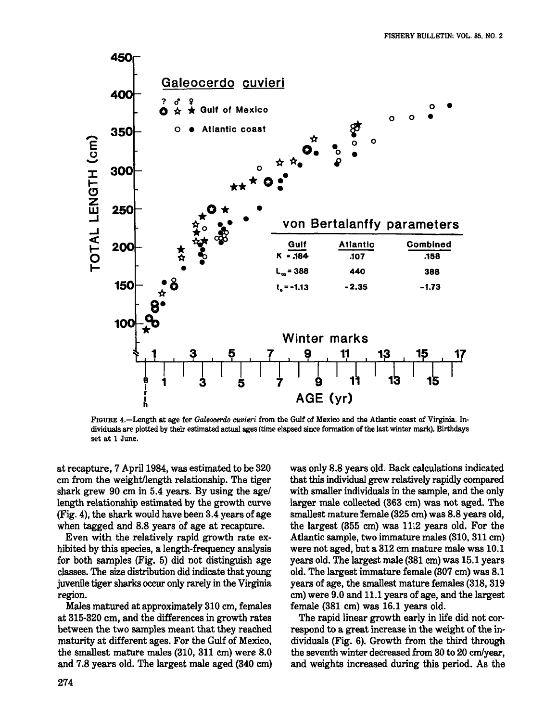

FIGURE 4.-Length at age for *Galeocerdo cuvieri* from the Gulf of Mexico and the Atlantic coast of Virginia. Individuals are plotted by their estimated actual ages (time elapsed since formation of the last winter mark). Birthdays set at 1 June.

at recapture, 7 April 1984, was estimated to be 320 cm from the weight/length relationship. The tiger shark grew 90 cm in 5.4 years. By using the agel length relationship estimated by the growth curve (Fig. 4), the shark would have been 3.4 years of age when tagged and 8.8 years of age at recapture.

Even with the relatively rapid growth rate exhibited by this species, a length-frequency analysis for both samples (Fig. 5) did not distinguish age classes. The size distribution did indicate that young juvenile tiger sharks occur only rarely in the Virginia region.

Males matured at approximately 310 cm, females at 315-320 em, and the differences in growth rates between the two samples meant that they reached maturity at different ages. For the Gulf of Mexico, the smallest mature males (310, 311 cm) were 8.0 and 7.8 years old. The largest male aged (340 cm) was only 8.8 years old. Back calculations indicated that this individual grew relatively rapidly compared with smaller individuals in the sample, and the only larger male collected (363 em) was not aged. The smallest mature female (325 em) was 8.8 years old, the largest (355 cm) was 11.2 years old. For the Atlantic sample, two immature males (310, 311 em) were not aged, but a 312 em mature male was 10.1 years old. The largest male (381 cm) was 15.1 years old. The largest immature female (307 em) was 8.1 years of age, the smallest mature females (318, 319 em) were 9.0 and 11.1 years of age, and the largest female (381 em) was 16.1 years old.

The rapid linear growth early in life did not correspond to a great increase in the weight of the individuals (Fig. 6). Growth from the third through the seventh winter decreased from 30 to 20 em/year, and weights increased during this period. As the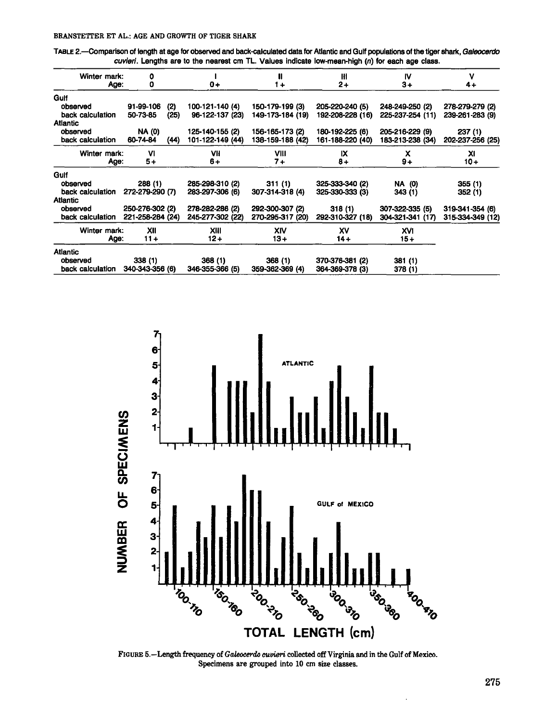#### BRANSTETTER ET AL.: AGE AND GROWTH OF TIGER SHARK

TABLE 2.-Comparison of length at age for observed and back-calculated data for Atlantic and Gulf populations of the tiger shark, Galeocerdo cuvieri. Lengths are to the nearest cm TL. Values indicate low-mean-high  $(n)$  for each age class.

| Winter mark:     | 0                |      |                  | H                | Ħ                | IV               | v                |
|------------------|------------------|------|------------------|------------------|------------------|------------------|------------------|
| Age:             | 0                |      | $0+$             | 1+               | $2+$             | $3+$             | $4+$             |
| Gulf             |                  |      |                  |                  |                  |                  |                  |
| observed         | 91-99-106        | (2)  | 100-121-140 (4)  | 150-179-199 (3)  | 205-220-240 (5)  | 248-249-250 (2)  | 278-279-279 (2)  |
| back calculation | 50-73-85         | (25) | 96-122-137 (23)  | 149-173-184 (19) | 192-208-228 (16) | 225-237-254 (11) | 239-261-283 (9)  |
| Atlantic         |                  |      |                  |                  |                  |                  |                  |
| observed         | <b>NA (0)</b>    |      | 125-140-155 (2)  | 156-165-173 (2)  | 180-192-225 (6)  | 205-216-229 (9)  | 237(1)           |
| back calculation | 60-74-84         | (44) | 101-122-149 (44) | 138-159-188 (42) | 161-188-220 (40) | 183-213-238 (34) | 202-237-256 (25) |
| Winter mark:     | VI               |      | VII              | VIII             | IX               | x                | XI               |
| Age:             | 5+               |      | 6+               | $7+$             | $8+$             | $9+$             | $10 +$           |
| Gulf             |                  |      |                  |                  |                  |                  |                  |
| observed         | 288 (1)          |      | 285-298-310 (2)  | 311(1)           | 325-333-340 (2)  | <b>NA (0)</b>    | 355(1)           |
| back calculation | 272-279-290 (7)  |      | 283-297-306 (6)  | 307-314-318 (4)  | 325-330-333 (3)  | 343 (1)          | 352(1)           |
| <b>Atlantic</b>  |                  |      |                  |                  |                  |                  |                  |
| observed         | 250-276-302 (2)  |      | 278-282-286 (2)  | 292-300-307 (2)  | 318(1)           | 307-322-335 (5)  | 319-341-354 (6)  |
| back calculation | 221-258-284 (24) |      | 245-277-302 (22) | 270-295-317 (20) | 292-310-327 (18) | 304-321-341 (17) | 315-334-349 (12) |
| Winter mark:     | XII              |      | XIII             | XIV              | x٧               | <b>XVI</b>       |                  |
| Age:             | $11 +$           |      | $12 +$           | $13+$            | $14 +$           | $15+$            |                  |
| Atlantic         |                  |      |                  |                  |                  |                  |                  |
| observed         | 338(1)           |      | 368(1)           | 368 (1)          | 370-376-381 (2)  | 381 (1)          |                  |
| back calculation | 340-343-356 (6)  |      | 346-355-366 (5)  | 359-362-369 (4)  | 364-369-378 (3)  | 378 (1)          |                  |



FIGURE 5.-Length frequency of Galeocerdo cuvieri collected off Virginia and in the Gulf of Mexico. Specimens are grouped into 10 cm size classes.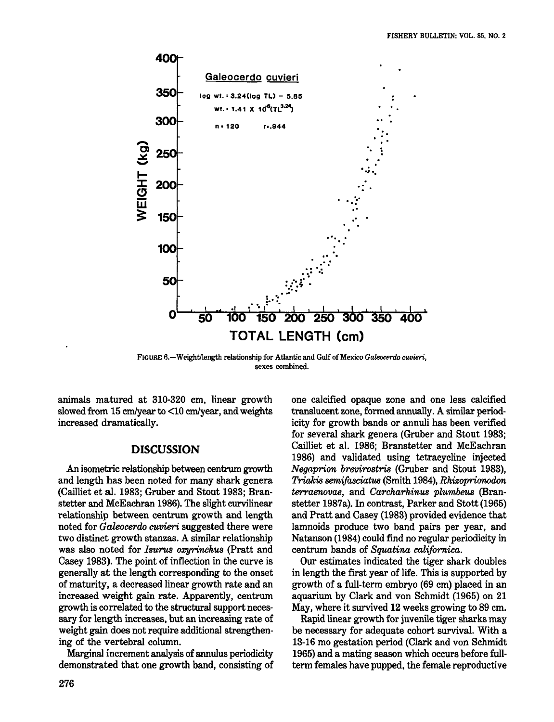

FIGURE 6.-Weight/length relationship for Atlantic and Gulf of Mexico Galeocerdo cuvieri, sexes combined.

animals matured at 310-320 em, linear growth slowed from 15 cm/year to <10 cm/year, and weights increased dramatically.

#### **DISCUSSION**

An isometric relationship between centrum growth and length has been noted for many shark genera (Cailliet et al. 1983; Gruber and Stout 1983; Branstetter and McEachran 1986). The slight curvilinear relationship between centrum growth and length noted for *Galeocerdo curieri* suggested there were two distinct growth stanzas. A similar relationship was also noted for *Isurus oxyrinckus* (Pratt and Casey 1983). The point of inflection in the curve is generally at the length corresponding to the onset of maturity, a decreased linear growth rate and an increased weight gain rate. Apparently, centrum growth is correlated to the structural support necessary for length increases, but an increasing rate of weight gain does not require additional strengthening of the vertebral column.

Marginal increment analysis of annulus periodicity demonstrated that one growth band, consisting of

one calcified opaque zone and one less calcified translucent zone, formed annually. A similar periodicity for growth bands or annuli has been verified for several shark genera (Gruber and Stout 1983; Cailliet et al. 1986; Branstetter and McEachran 1986) and validated using tetracycline injected *Negaprion brevirostris* (Gruber and Stout 1983), *TriaJ.-is semifasciatus* (Smith 1984), *Rkizoprionodon terraenovae,* and *Carckarkinus plumbeus* (Branstetter 1987a). In contrast, Parker and Stott(1965) and Pratt and Casey (1983) provided evidence that lamnoids produce two band pairs per year, and Natanson (1984) could find no regular periodicity in centrum bands of *Squatina californica.*

Our estimates indicated the tiger shark doubles in length the first year of life. This is supported by growth of a full-term embryo (69 em) placed in an aquarium by Clark and von Schmidt (1965) on 21 May, where it survived 12 weeks growing to 89 em.

Rapid linear growth for juvenile tiger sharks may be necessary for adequate cohort survival. With a 13-16 mo gestation period (Clark and von Schmidt 1965) and a mating season which occurs before fullterm females have pupped, the female reproductive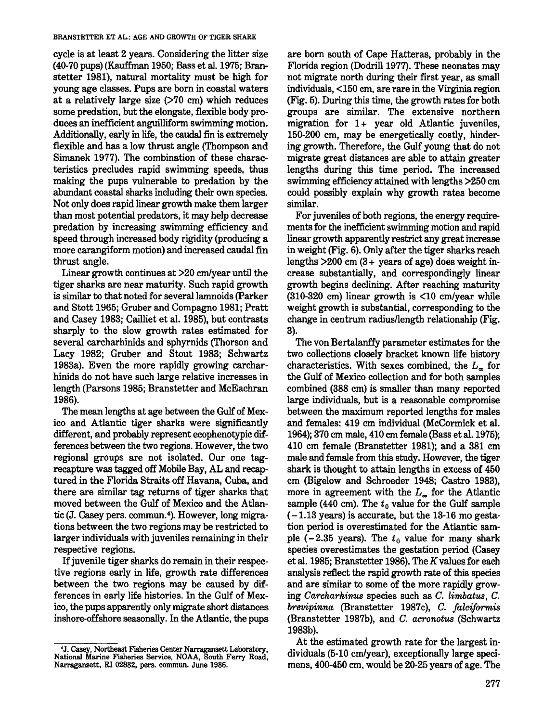#### BRANSTETTER ET AL.: AGE AND GROWTH OF TIGER SHARK

cycle is at least 2 years. Considering the litter size (40-70 pups) (Kauffman 1950; Bass et al. 1975; Branstetter 1981), natural mortality must be high for young age classes. Pups are born in coastal waters at a relatively large size  $(270 \text{ cm})$  which reduces some predation, but the elongate, flexible body produces an inefficient anguilliform swimming motion. Additionally, early in life, the caudal fin is extremely flexible and has a low thrust angle (Thompson and Simanek 1977). The combination of these characteristics precludes rapid swimming speeds, thus making the pups vulnerable to predation by the abundant coastal sharks including their own species. Not only does rapid linear growth make them larger than most potential predators, it may help decrease predation by increasing swimming efficiency and speed through increased body rigidity (producing a more carangiform motion) and increased caudal fin thrust angle.

Linear growth continues at >20 cm/year until the tiger sharks are near maturity. Such rapid growth is similar to that noted for several lamnoids (Parker and Stott 1965; Gruber and Compagno 1981; Pratt and Casey 1983; Cailliet et al. 1985), but contrasts sharply to the slow growth rates estimated for several carcharhinids and sphyrnids (Thorson and Lacy 1982; Gruber and Stout 1983; Schwartz 1983a). Even the more rapidly growing carcharhinids do not have such large relative increases in length (Parsons 1985; Branstetter and McEachran 1986).

The mean lengths at age between the Gulf of Mexico and Atlantic tiger sharks were significantly different, and probably represent ecophenotypic differences between the two regions. However, the two regional groups are not isolated. Our one tagrecapture was tagged off Mobile Bay, AL and recaptured in the Florida Straits off Havana, Cuba, and there are similar tag returns of tiger sharks that moved between the Gulf of Mexico and the Atlantic (J. Casey pers. commun. 4). However, long migrations between the two regions may be restricted to larger individuals with juveniles remaining in their respective regions.

If juvenile tiger sharks do remain in their respective regions early in life, growth rate differences between the two regions may be caused by differences in early life histories. In the Gulf of Mexico, the pups apparently only migrate short distances inshore-offshore seasonally. In the Atlantic, the pups

are born south of Cape Hatteras, probably in the Florida region (Dodrill 1977). These neonates may not migrate north during their first year, as small individuals, <150 cm, are rare in the Virginia region (Fig. 5). During this time, the growth rates for both groups are similar. The extensive northern migration for  $1+$  year old Atlantic juveniles, 150-200 cm, may be energetically costly, hindering growth. Therefore, the Gulf young that do not migrate great distances are able to attain greater lengths during this time period. The increased swimming efficiency attained with lengths >250 cm could possibly explain why growth rates become similar.

For juveniles of both regions, the energy requirements for the inefficient swimming motion and rapid linear growth apparently restrict any great increase in weight (Fig. 6). Only after the tiger sharks reach lengths  $>200$  cm  $(3 + \text{ years of age})$  does weight increase substantially, and correspondingly linear growth begins declining. After reaching maturity (310-320 cm) linear growth is <10 cm/year while weight growth is substantial, corresponding to the change in centrum radius/length relationship (Fig. 3).

The von Bertalanffy parameter estimates for the two collections closely bracket known life history characteristics. With sexes combined, the  $L_{\infty}$  for the Gulf of Mexico collection and for both samples combined (388 cm) is smaller than many reported large individuals, but is a reasonable compromise between the maximum reported lengths for males and females: 419 cm individual (McCormick et al. 1964); 370 cm male, 410 em female (Bass et al. 1975); 410 cm female (Branstetter 1981); and a 381 cm male and female from this study. However, the tiger shark is thought to attain lengths in excess of 450 cm (Bigelow and Schroeder 1948; Castro 1983), more in agreement with the  $L_{\infty}$  for the Atlantic sample (440 cm). The  $t_0$  value for the Gulf sample  $(-1.13 \text{ years})$  is accurate, but the 13-16 mo gestation period is overestimated for the Atlantic sample  $(-2.35 \text{ years})$ . The  $t_0$  value for many shark species overestimates the gestation period (Casey et al. 1985; Branstetter 1986). The  $K$  values for each analysis reflect the rapid growth rate of this species and are similar to some of the more rapidly growing *Carcharhimus* species such as *C. limbatus*, *C. brevipinna* (Branstetter 1987c), C. *falciformis* (Branstetter 1987b), and C. *acronotus* (Schwartz 1983b).

At the estimated growth rate for the largest individuals (5-10 cm/year), exceptionally large specimens, 400-450 cm, would be 20-25 years of age. The

<sup>&#</sup>x27;J. Casey, Northeast Fisheries Center Narragansett Laboratory, National Marine Fisheries Service, NOAA, South Ferry Road, Narragansett. RI 02882, pers. commun. June 1986.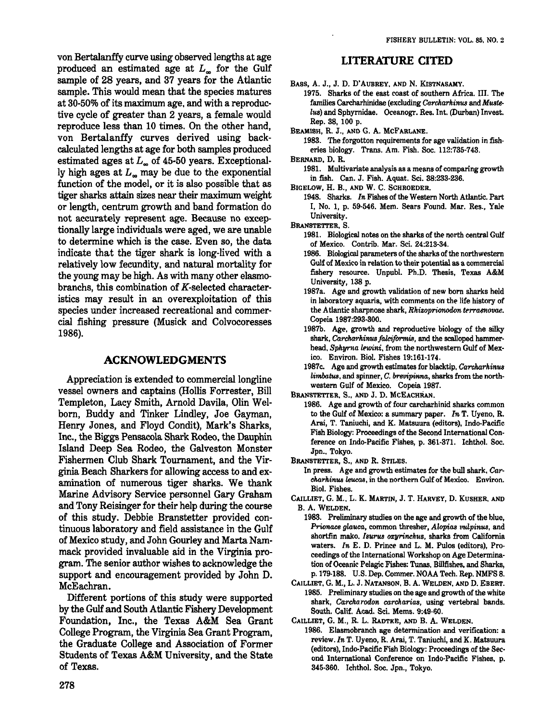von BertaIanffy curve using observed lengths at age produced an estimated age at  $L<sub>m</sub>$  for the Gulf sample of 28 years, and 37 years for the Atlantic sample. This would mean that the species matures at 30-50% of its maximum age, and with a reproductive cycle of greater than 2 years, a female would reproduce less than 10 times. On the other hand, von Bertalanffy curves derived using backcalculated lengths at age for both samples produced estimated ages at  $L_{\infty}$  of 45-50 years. Exceptionally high ages at  $L<sub>m</sub>$  may be due to the exponential function of the model, or it is also possible that as tiger sharks attain sizes near their maximum weight or length, centrum growth and band formation do not accurately represent age. Because no exceptionally large individuals were aged, we are unable to determine which is the case. Even so, the data indicate that the tiger shark is long-lived with a relatively low fecundity. and natural mortality for the young may be high. As with many other elasmobranchs, this combination of K-selected characteristics may result in an overexploitation of this species under increased recreational and commercial fishing pressure (Musick and Colvocoresses 1986).

#### **ACKNOWLEDGMENTS**

Appreciation is extended to commercial longline vessel owners and captains (Hollis Forrester, Bill Templeton, Lacy Smith, Arnold Davila, Olin Welborn, Buddy and Tinker Lindley, Joe Gayman, Henry Jones, and Floyd Condit), Mark's Sharks, Inc" the Biggs Pensacola Shark Rodeo. the Dauphin Island Deep Sea Rodeo, the Galveston Monster Fishermen Club Shark Tournament, and the Virginia Beach Sharkers for allowing access to and examination of numerous tiger sharks. We thank Marine Advisory Service personnel Gary Graham and Tony Reisinger for their help during the course of this study. Debbie Branstetter provided continuous laboratory and field assistance in the Gulf of Mexico study, and John Gourley and Marta Nammack provided invaluable aid in the Virginia program. The senior author wishes to acknowledge the support and encouragement provided by John D. McEachran.

Different portions of this study were supported by the Gulf and South Atlantic Fishery Development Foundation, Inc., the Texas A&M Sea Grant College Program, the Virginia Sea Grant Program, the Graduate College and Association of Former Students of Texas A&M University, and the State of Texas.

#### **LITERATURE CITED**

BASS, A. J., J. D. D'AUBREY, AND N. KISTNASAMY.

- 1975. Sharks of the east coast of southern Africa. III. The families Carcharhinidae (excluding *Carcharhinus* and *Muste-Ius)* and Sphyrnidae. Oceanogr. Res. Int. (Durban) Invest. Rep. 38, 100 p.
- BEAMISH, R. J., AND G. A. McFARLANE.
	- 1983. The forgotton requirements for age validation in fisheries biology. Trans. Am. Fish. Soc. 112:735-743.
- BERNARD, D. R.
	- 1981. Multivariate analysis as a means of comparing growth in fish. Can. J. Fish. Aquat. Sci. 38:233-236.
- BIGELOW, H. B., AND W. C. SCHROEDER.
	- 1948. Sharks. *In* Fishes of the Western North Atlantic. Part I, No. I, p. 59-546. Mem. Sears Found. Mar. Res., Yale University.

BRANSTETTER, S.

- 1981. Biological notes on the sharks of the north central Gulf of Mexico. Contrib. Mar. Sci. 24:213-34.
- 1986. Biological parameters of the sharks of the northwestern Gulf of Mexico in relation to their potential as a commercial fishery resource. Unpubl. Ph.D. Thesis, Texas A&M University, 138 p.
- 1987a. Age and growth validation of new born sharks held in laboratory aquaria, with comments on the life history of the Atlantic sharpnose shark, *Rhizoprionodon terraenovae*. Copeia 1987:293-300.
- 1987b. Age, growth and reproductive biology of the silky shark, *Carcharhinus folciformis*, and the scalloped hammerhead. Sphyrna lewini, from the northwestern Gulf of Mexico. Environ. BioI. Fishes 19:161-174.
- 1987c. Age and growth estimates for blacktip. *Carekarkinus limbatus*, and spinner, *C. brevipinna*, sharks from the northwestern Gulf of Mexico. Copeia 1987.
- BRANSTETTER, S., AND J. D. MCEACHRAN.
	- 1986. Age and growth of four carcharhinid sharks common to the Gulf of Mexico: a summary paper. *In* T. Uyeno, R. Arai, T. Taniuchi, and K. Matsuura (editors), Indo-Pacific Fish Biology: Proceedings of the Second International Conference on Indo-Pacific Fishes, p. 361-371. Ichthol. Soc. Jpn.. Tokyo.
- BRANSTETTER, S., AND R. STILES.

In press. Age and growth estimates for the bull shark. *Carch.arkinus leueas,* in the northern Gulf of Mexico. Environ. Bioi. Fishes.

- CAILLIET, G. M., L. K. MARTIN, J. T. HARVEY, D. KUSHER, AND B. A. WELDEN.
- 1983. Preliminary studies on the age and growth of the blue, *Prionace glauca,* common thresher, *Alopias vulpinus*, and shortfin mako. *Isurus ozyrinchus,* sharks from California waters. *In* E. D. Prince and L. M. Pulos (editors), Proceedings of the International Workshop on Age Determination of Oceanic Pelagic Fishes: Tunas. Billfishes, and Sharks, p.179-188. U.S. Dep. Commer. NOAA Tech. Rep. NMFS 8.
- CAILLIET, G. M., L. J. NATANSON, B. A. WELDEN, AND D. EBERT. 1985. Preliminary studies on the age and growth of the white shark, *Carcharodon carcharias*, using vertebral bands. South. Calif. Acad. Sci. Mems. 9:49-60.
- CAILLIET, G. M., R. L. RADTKE, AND B. A. WELDEN.
- 1986. Elasmobranch age determination and verification: a review. *In* T. Uyeno, R. Arai, T. Taniuchi, and K. Matsuura (editors), Indo-Pacific Fish Biology: Proceedings of the Second International Conference on Indo-Pacific Fishes, p. 345-360. IchthoI. Soc. Jpn., Tokyo.